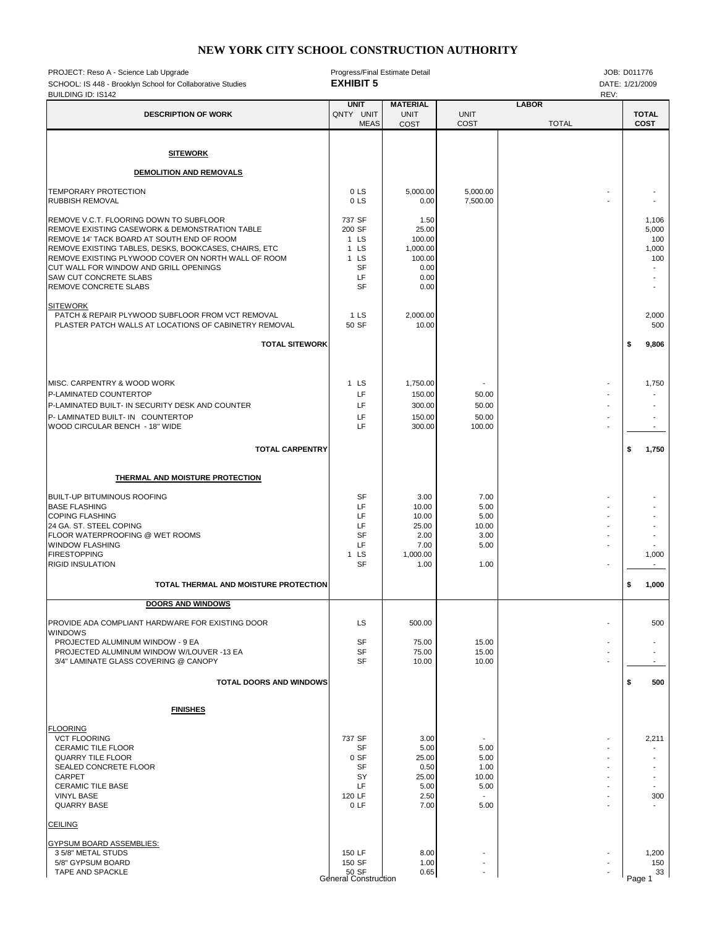## **NEW YORK CITY SCHOOL CONSTRUCTION AUTHORITY**

| PROJECT: Reso A - Science Lab Upgrade<br>SCHOOL: IS 448 - Brooklyn School for Collaborative Studies<br><b>BUILDING ID: IS142</b>                                                                                                                                                                                                                            | Progress/Final Estimate Detail<br><b>EXHIBIT 5</b>                               |                                                                       |                                                       |                              |  |        | JOB: D011776<br>DATE: 1/21/2009       |
|-------------------------------------------------------------------------------------------------------------------------------------------------------------------------------------------------------------------------------------------------------------------------------------------------------------------------------------------------------------|----------------------------------------------------------------------------------|-----------------------------------------------------------------------|-------------------------------------------------------|------------------------------|--|--------|---------------------------------------|
| <b>DESCRIPTION OF WORK</b>                                                                                                                                                                                                                                                                                                                                  | <b>UNIT</b><br>QNTY UNIT<br><b>MEAS</b>                                          | <b>MATERIAL</b><br><b>UNIT</b><br>COST                                | <b>UNIT</b><br>COST                                   | <b>LABOR</b><br><b>TOTAL</b> |  |        | <b>TOTAL</b><br><b>COST</b>           |
| <b>SITEWORK</b>                                                                                                                                                                                                                                                                                                                                             |                                                                                  |                                                                       |                                                       |                              |  |        |                                       |
| DEMOLITION AND REMOVALS                                                                                                                                                                                                                                                                                                                                     |                                                                                  |                                                                       |                                                       |                              |  |        |                                       |
| TEMPORARY PROTECTION<br><b>RUBBISH REMOVAL</b>                                                                                                                                                                                                                                                                                                              | 0 LS<br>0 <sub>L</sub>                                                           | 5,000.00<br>0.00                                                      | 5,000.00<br>7,500.00                                  |                              |  |        |                                       |
| REMOVE V.C.T. FLOORING DOWN TO SUBFLOOR<br>REMOVE EXISTING CASEWORK & DEMONSTRATION TABLE<br>REMOVE 14' TACK BOARD AT SOUTH END OF ROOM<br>REMOVE EXISTING TABLES, DESKS, BOOKCASES, CHAIRS, ETC<br>REMOVE EXISTING PLYWOOD COVER ON NORTH WALL OF ROOM<br>CUT WALL FOR WINDOW AND GRILL OPENINGS<br><b>SAW CUT CONCRETE SLABS</b><br>REMOVE CONCRETE SLABS | 737 SF<br>200 SF<br>1 <sub>LS</sub><br>$1$ LS<br>$1$ LS<br>SF<br>LF<br><b>SF</b> | 1.50<br>25.00<br>100.00<br>1,000.00<br>100.00<br>0.00<br>0.00<br>0.00 |                                                       |                              |  |        | 1,106<br>5,000<br>100<br>1,000<br>100 |
| <b>SITEWORK</b><br>PATCH & REPAIR PLYWOOD SUBFLOOR FROM VCT REMOVAL<br>PLASTER PATCH WALLS AT LOCATIONS OF CABINETRY REMOVAL                                                                                                                                                                                                                                | 1 <sub>LS</sub><br>50 SF                                                         | 2,000.00<br>10.00                                                     |                                                       |                              |  |        | 2,000<br>500                          |
| <b>TOTAL SITEWORK</b>                                                                                                                                                                                                                                                                                                                                       |                                                                                  |                                                                       |                                                       |                              |  | \$     | 9,806                                 |
| MISC. CARPENTRY & WOOD WORK<br>P-LAMINATED COUNTERTOP<br>P-LAMINATED BUILT- IN SECURITY DESK AND COUNTER<br>P- LAMINATED BUILT- IN COUNTERTOP<br>WOOD CIRCULAR BENCH - 18" WIDE                                                                                                                                                                             | 1 LS<br>LF<br>LF<br>LF<br>LF                                                     | 1,750.00<br>150.00<br>300.00<br>150.00<br>300.00                      | 50.00<br>50.00<br>50.00<br>100.00                     |                              |  |        | 1,750<br>$\overline{\phantom{a}}$     |
| <b>TOTAL CARPENTRY</b>                                                                                                                                                                                                                                                                                                                                      |                                                                                  |                                                                       |                                                       |                              |  | \$     | 1,750                                 |
| THERMAL AND MOISTURE PROTECTION                                                                                                                                                                                                                                                                                                                             |                                                                                  |                                                                       |                                                       |                              |  |        |                                       |
| <b>BUILT-UP BITUMINOUS ROOFING</b><br><b>BASE FLASHING</b><br><b>COPING FLASHING</b><br>24 GA. ST. STEEL COPING<br>FLOOR WATERPROOFING @ WET ROOMS<br><b>WINDOW FLASHING</b><br><b>FIRESTOPPING</b><br><b>RIGID INSULATION</b>                                                                                                                              | <b>SF</b><br>LF<br>LF<br>LF<br>SF<br>LF<br>1 <sub>LS</sub><br><b>SF</b>          | 3.00<br>10.00<br>10.00<br>25.00<br>2.00<br>7.00<br>1,000.00<br>1.00   | 7.00<br>5.00<br>5.00<br>10.00<br>3.00<br>5.00<br>1.00 |                              |  |        | 1,000<br>$\overline{\phantom{a}}$     |
| TOTAL THERMAL AND MOISTURE PROTECTION                                                                                                                                                                                                                                                                                                                       |                                                                                  |                                                                       |                                                       |                              |  | \$     | 1,000                                 |
| <b>DOORS AND WINDOWS</b>                                                                                                                                                                                                                                                                                                                                    |                                                                                  |                                                                       |                                                       |                              |  |        |                                       |
| PROVIDE ADA COMPLIANT HARDWARE FOR EXISTING DOOR<br>WINDOWS<br>PROJECTED ALUMINUM WINDOW - 9 EA<br>PROJECTED ALUMINUM WINDOW W/LOUVER -13 EA<br>3/4" LAMINATE GLASS COVERING @ CANOPY                                                                                                                                                                       | LS<br><b>SF</b><br>SF<br><b>SF</b>                                               | 500.00<br>75.00<br>75.00<br>10.00                                     | 15.00<br>15.00<br>10.00                               |                              |  |        | 500                                   |
| <b>TOTAL DOORS AND WINDOWS</b>                                                                                                                                                                                                                                                                                                                              |                                                                                  |                                                                       |                                                       |                              |  | \$     | 500                                   |
| <b>FINISHES</b>                                                                                                                                                                                                                                                                                                                                             |                                                                                  |                                                                       |                                                       |                              |  |        |                                       |
| <b>FLOORING</b><br><b>VCT FLOORING</b><br><b>CERAMIC TILE FLOOR</b><br><b>QUARRY TILE FLOOR</b><br>SEALED CONCRETE FLOOR<br><b>CARPET</b><br><b>CERAMIC TILE BASE</b><br><b>VINYL BASE</b><br><b>QUARRY BASE</b>                                                                                                                                            | 737 SF<br>SF<br>0 SF<br>SF<br>SY<br>LF<br>120 LF<br>0LF                          | 3.00<br>5.00<br>25.00<br>0.50<br>25.00<br>5.00<br>2.50<br>7.00        | 5.00<br>5.00<br>1.00<br>10.00<br>5.00<br>5.00         |                              |  |        | 2,211<br>300                          |
| <b>CEILING</b>                                                                                                                                                                                                                                                                                                                                              |                                                                                  |                                                                       |                                                       |                              |  |        |                                       |
| GYPSUM BOARD ASSEMBLIES:<br>3 5/8" METAL STUDS<br>5/8" GYPSUM BOARD<br>TAPE AND SPACKLE                                                                                                                                                                                                                                                                     | 150 LF<br>150 SF<br>50 SF<br>General Construction                                | 8.00<br>1.00<br>0.65                                                  |                                                       |                              |  | Page 1 | 1,200<br>150<br>33                    |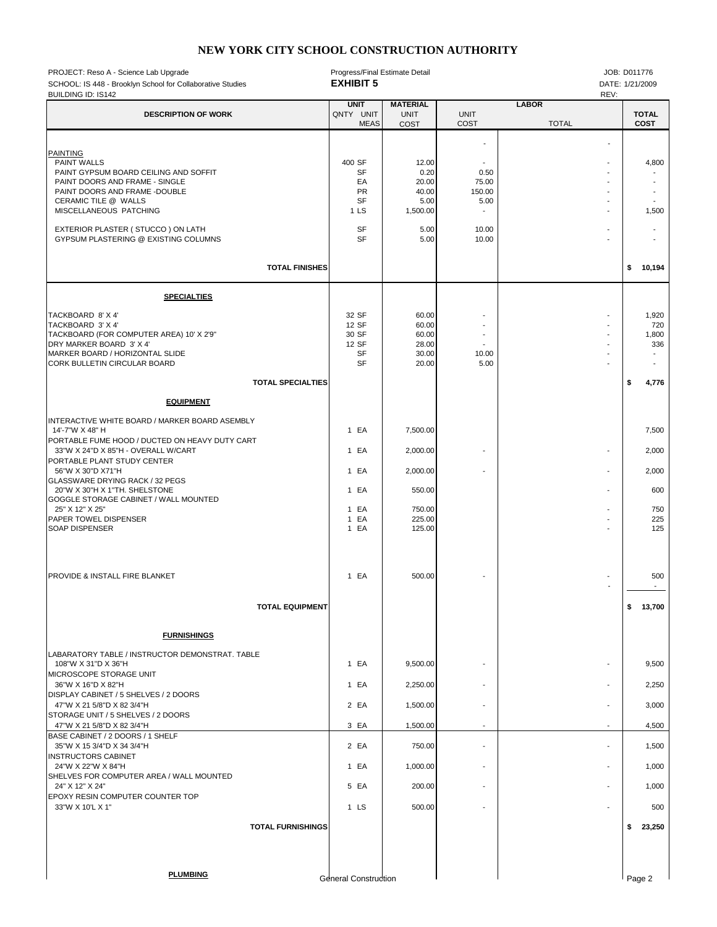## **NEW YORK CITY SCHOOL CONSTRUCTION AUTHORITY**

| PROJECT: Reso A - Science Lab Upgrade<br>SCHOOL: IS 448 - Brooklyn School for Collaborative Studies<br><b>BUILDING ID: IS142</b>                                                                                                                                                                                                                                                                              | Progress/Final Estimate Detail<br><b>EXHIBIT 5</b>   |                                                                          |                                                                                                 |                              |                                                              |                      | JOB: D011776<br>DATE: 1/21/2009                                  |  |
|---------------------------------------------------------------------------------------------------------------------------------------------------------------------------------------------------------------------------------------------------------------------------------------------------------------------------------------------------------------------------------------------------------------|------------------------------------------------------|--------------------------------------------------------------------------|-------------------------------------------------------------------------------------------------|------------------------------|--------------------------------------------------------------|----------------------|------------------------------------------------------------------|--|
| <b>DESCRIPTION OF WORK</b>                                                                                                                                                                                                                                                                                                                                                                                    | <b>UNIT</b><br>QNTY UNIT<br><b>MEAS</b>              | <b>MATERIAL</b><br><b>UNIT</b><br>COST                                   | <b>UNIT</b><br>COST                                                                             | <b>LABOR</b><br><b>TOTAL</b> | REV:                                                         | <b>TOTAL</b><br>COST |                                                                  |  |
| <b>PAINTING</b><br><b>PAINT WALLS</b><br>PAINT GYPSUM BOARD CEILING AND SOFFIT<br>PAINT DOORS AND FRAME - SINGLE<br>PAINT DOORS AND FRAME -DOUBLE<br>CERAMIC TILE @ WALLS<br>MISCELLANEOUS PATCHING                                                                                                                                                                                                           | 400 SF<br><b>SF</b><br>EA<br>PR<br><b>SF</b><br>1 LS | 12.00<br>0.20<br>20.00<br>40.00<br>5.00<br>1,500.00                      | $\overline{\phantom{a}}$<br>$\blacksquare$<br>0.50<br>75.00<br>150.00<br>5.00<br>$\blacksquare$ |                              | $\blacksquare$<br>$\blacksquare$<br>$\blacksquare$           |                      | 4,800<br>$\blacksquare$<br>1,500                                 |  |
| EXTERIOR PLASTER (STUCCO) ON LATH<br>GYPSUM PLASTERING @ EXISTING COLUMNS                                                                                                                                                                                                                                                                                                                                     | <b>SF</b><br><b>SF</b>                               | 5.00<br>5.00                                                             | 10.00<br>10.00                                                                                  |                              |                                                              |                      | $\blacksquare$                                                   |  |
| <b>TOTAL FINISHES</b>                                                                                                                                                                                                                                                                                                                                                                                         |                                                      |                                                                          |                                                                                                 |                              |                                                              | \$                   | 10,194                                                           |  |
| <b>SPECIALTIES</b>                                                                                                                                                                                                                                                                                                                                                                                            |                                                      |                                                                          |                                                                                                 |                              |                                                              |                      |                                                                  |  |
| TACKBOARD 8' X 4'<br>TACKBOARD 3' X 4'<br>TACKBOARD (FOR COMPUTER AREA) 10' X 2'9"<br>DRY MARKER BOARD 3' X 4'<br>MARKER BOARD / HORIZONTAL SLIDE<br>CORK BULLETIN CIRCULAR BOARD                                                                                                                                                                                                                             | 32 SF<br>12 SF<br>30 SF<br>12 SF<br>SF<br><b>SF</b>  | 60.00<br>60.00<br>60.00<br>28.00<br>30.00<br>20.00                       | $\overline{a}$<br>10.00<br>5.00                                                                 |                              | $\blacksquare$<br>$\blacksquare$                             |                      | 1,920<br>720<br>1,800<br>336<br>$\blacksquare$<br>$\overline{a}$ |  |
| <b>TOTAL SPECIALTIES</b>                                                                                                                                                                                                                                                                                                                                                                                      |                                                      |                                                                          |                                                                                                 |                              |                                                              | \$                   | 4,776                                                            |  |
| <b>EQUIPMENT</b><br>INTERACTIVE WHITE BOARD / MARKER BOARD ASEMBLY<br>14'-7"W X 48" H<br>PORTABLE FUME HOOD / DUCTED ON HEAVY DUTY CART<br>33"W X 24"D X 85"H - OVERALL W/CART<br>PORTABLE PLANT STUDY CENTER<br>56"W X 30"D X71"H<br>GLASSWARE DRYING RACK / 32 PEGS<br>20"W X 30"H X 1"TH. SHELSTONE<br>GOGGLE STORAGE CABINET / WALL MOUNTED<br>25" X 12" X 25"<br>PAPER TOWEL DISPENSER<br>SOAP DISPENSER | 1 EA<br>1 EA<br>1 EA<br>1 EA<br>1 EA<br>1 EA<br>1 EA | 7,500.00<br>2,000.00<br>2,000.00<br>550.00<br>750.00<br>225.00<br>125.00 |                                                                                                 |                              | $\overline{\phantom{a}}$<br>$\blacksquare$<br>$\blacksquare$ |                      | 7,500<br>2,000<br>2,000<br>600<br>750<br>225<br>125              |  |
| PROVIDE & INSTALL FIRE BLANKET                                                                                                                                                                                                                                                                                                                                                                                | 1 EA                                                 | 500.00                                                                   |                                                                                                 |                              |                                                              |                      | 500                                                              |  |
| <b>TOTAL EQUIPMENT</b>                                                                                                                                                                                                                                                                                                                                                                                        |                                                      |                                                                          |                                                                                                 |                              |                                                              | \$                   | 13,700                                                           |  |
| <b>FURNISHINGS</b>                                                                                                                                                                                                                                                                                                                                                                                            |                                                      |                                                                          |                                                                                                 |                              |                                                              |                      |                                                                  |  |
| LABARATORY TABLE / INSTRUCTOR DEMONSTRAT. TABLE<br>108"W X 31"D X 36"H<br>MICROSCOPE STORAGE UNIT<br>36"W X 16"D X 82"H<br>DISPLAY CABINET / 5 SHELVES / 2 DOORS<br>47"W X 21 5/8"D X 82 3/4"H                                                                                                                                                                                                                | 1 EA<br>1 EA<br>2 EA                                 | 9,500.00<br>2,250.00<br>1,500.00                                         |                                                                                                 |                              |                                                              |                      | 9,500<br>2,250<br>3,000                                          |  |
| STORAGE UNIT / 5 SHELVES / 2 DOORS<br>47"W X 21 5/8"D X 82 3/4"H                                                                                                                                                                                                                                                                                                                                              | 3 EA                                                 | 1,500.00                                                                 | $\blacksquare$                                                                                  |                              |                                                              |                      | 4,500                                                            |  |
| BASE CABINET / 2 DOORS / 1 SHELF<br>35"W X 15 3/4"D X 34 3/4"H                                                                                                                                                                                                                                                                                                                                                | 2 EA                                                 | 750.00                                                                   |                                                                                                 |                              |                                                              |                      | 1,500                                                            |  |
| <b>INSTRUCTORS CABINET</b><br>24"W X 22"W X 84"H<br>SHELVES FOR COMPUTER AREA / WALL MOUNTED                                                                                                                                                                                                                                                                                                                  | 1 EA                                                 | 1,000.00                                                                 | ٠                                                                                               |                              |                                                              |                      | 1,000                                                            |  |
| 24" X 12" X 24"<br>EPOXY RESIN COMPUTER COUNTER TOP<br>33"W X 10'L X 1"                                                                                                                                                                                                                                                                                                                                       | 5 EA<br>1 LS                                         | 200.00<br>500.00                                                         |                                                                                                 |                              |                                                              |                      | 1,000<br>500                                                     |  |
| <b>TOTAL FURNISHINGS</b>                                                                                                                                                                                                                                                                                                                                                                                      |                                                      |                                                                          |                                                                                                 |                              |                                                              |                      | \$23,250                                                         |  |
|                                                                                                                                                                                                                                                                                                                                                                                                               |                                                      |                                                                          |                                                                                                 |                              |                                                              |                      |                                                                  |  |
| <b>PLUMBING</b>                                                                                                                                                                                                                                                                                                                                                                                               | <b>General Construction</b>                          |                                                                          |                                                                                                 |                              |                                                              | Page 2               |                                                                  |  |